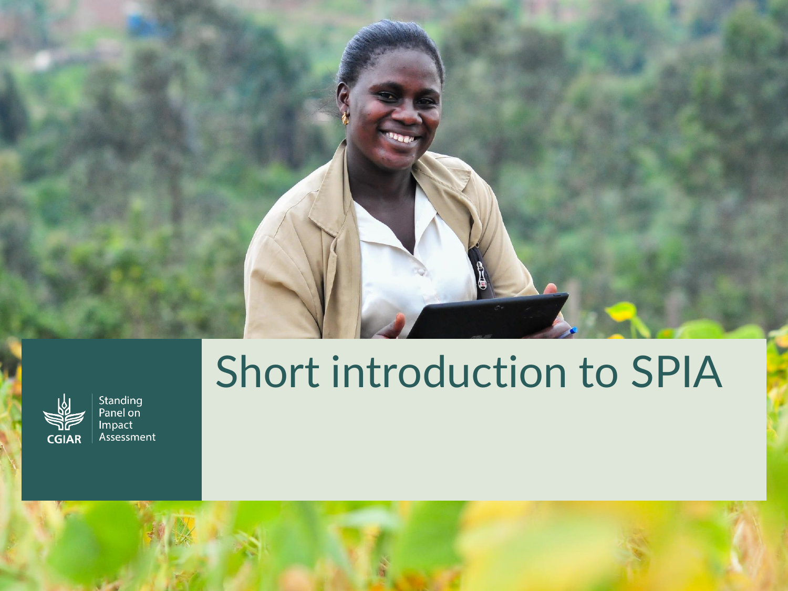## Short introduction to SPIA



Standing<br>Panel on Impact Assessment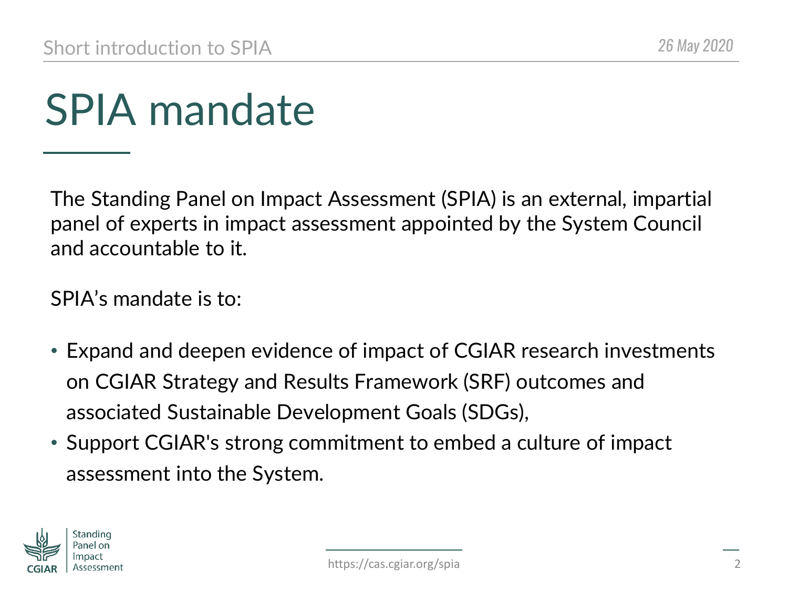## SPIA mandate

The Standing Panel on Impact Assessment (SPIA) is an external, impartial panel of experts in impact assessment appointed by the System Council and accountable to it.

SPIA's mandate is to:

- Expand and deepen evidence of impact of CGIAR research investments on CGIAR Strategy and Results Framework (SRF) outcomes and associated Sustainable Development Goals (SDGs),
- Support CGIAR's strong commitment to embed a culture of impact assessment into the System.

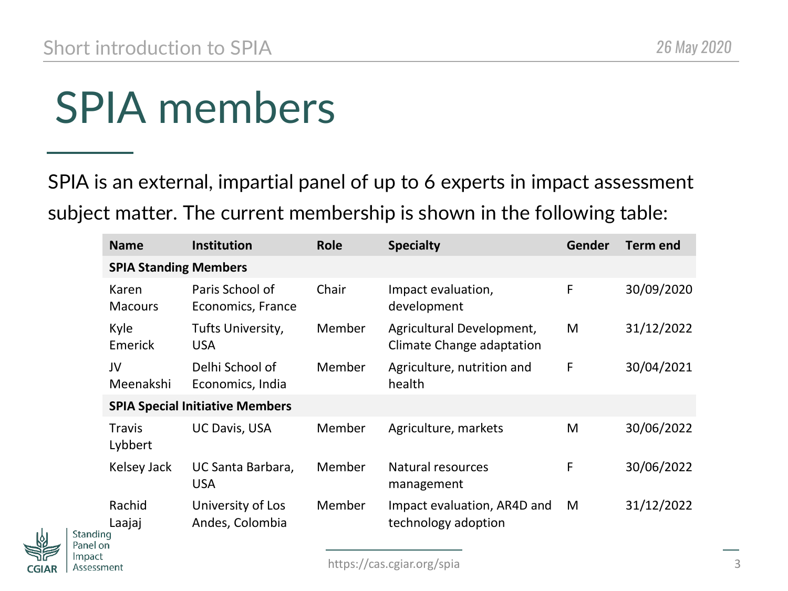# SPIA members

SPIA is an external, impartial panel of up to 6 experts in impact assessment subject matter. The current membership is shown in the following table:

| <b>Name</b>                            | <b>Institution</b>                   | <b>Role</b>   | <b>Specialty</b>                                       | Gender | <b>Term end</b> |
|----------------------------------------|--------------------------------------|---------------|--------------------------------------------------------|--------|-----------------|
| <b>SPIA Standing Members</b>           |                                      |               |                                                        |        |                 |
| Karen<br><b>Macours</b>                | Paris School of<br>Economics, France | Chair         | Impact evaluation,<br>development                      | F      | 30/09/2020      |
| Kyle<br>Emerick                        | Tufts University,<br><b>USA</b>      | Member        | Agricultural Development,<br>Climate Change adaptation | M      | 31/12/2022      |
| JV<br>Meenakshi                        | Delhi School of<br>Economics, India  | Member        | Agriculture, nutrition and<br>health                   | F      | 30/04/2021      |
| <b>SPIA Special Initiative Members</b> |                                      |               |                                                        |        |                 |
| <b>Travis</b><br>Lybbert               | <b>UC Davis, USA</b>                 | Member        | Agriculture, markets                                   | M      | 30/06/2022      |
| Kelsey Jack                            | UC Santa Barbara,<br><b>USA</b>      | <b>Member</b> | Natural resources<br>management                        | F      | 30/06/2022      |
| Rachid<br>Laajaj<br>nq                 | University of Los<br>Andes, Colombia | Member        | Impact evaluation, AR4D and<br>technology adoption     | M      | 31/12/2022      |